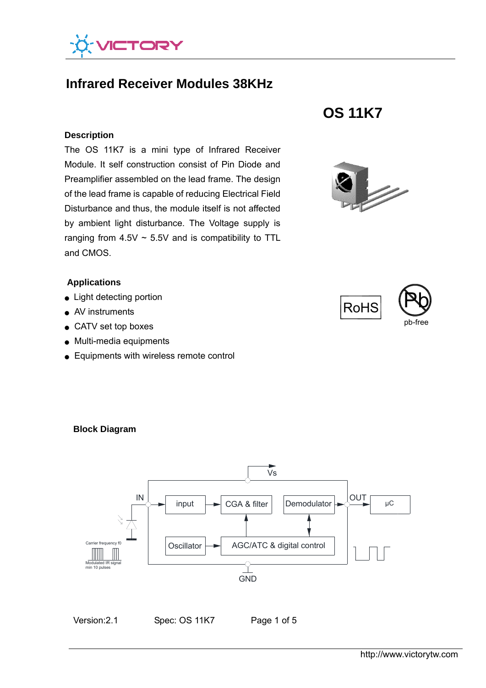

# **Infrared Receiver Modules 38KHz**

#### **Description**

The OS 11K7 is a mini type of Infrared Receiver Module. It self construction consist of Pin Diode and Preamplifier assembled on the lead frame. The design of the lead frame is capable of reducing Electrical Field Disturbance and thus, the module itself is not affected by ambient light disturbance. The Voltage supply is ranging from  $4.5V \sim 5.5V$  and is compatibility to TTL and CMOS.

### **Applications**

- Light detecting portion
- AV instruments
- CATV set top boxes

**Block Diagram** 

- Multi-media equipments
- Equipments with wireless remote control









# input **OUT** Carrier freq Modulated IR signal min 10 pulses IN **Oscillator** CGA & filter AGC/ATC & digital control  $\vert$ Demodulator $\vert \rightarrow \circ \rightarrow \vert$  µC  $GND$ Vs

Version: 2.1 Spec: OS 11K7 Page 1 of 5

http://www.victorytw.com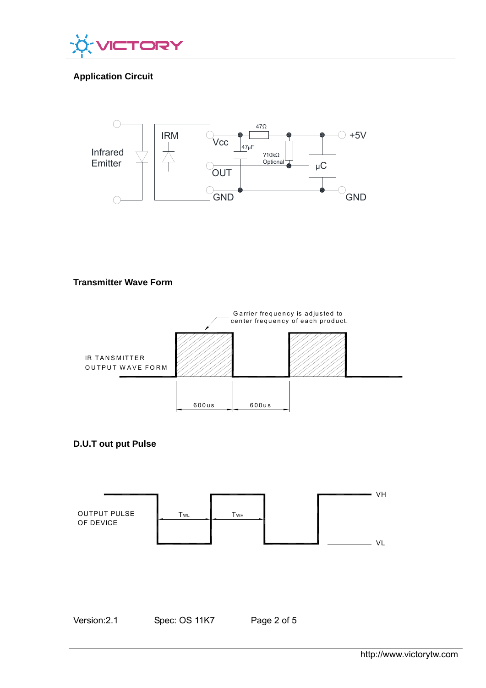

# **Application Circuit**



# **Transmitter Wave Form**







Version:2.1 Spec: OS 11K7 Page 2 of 5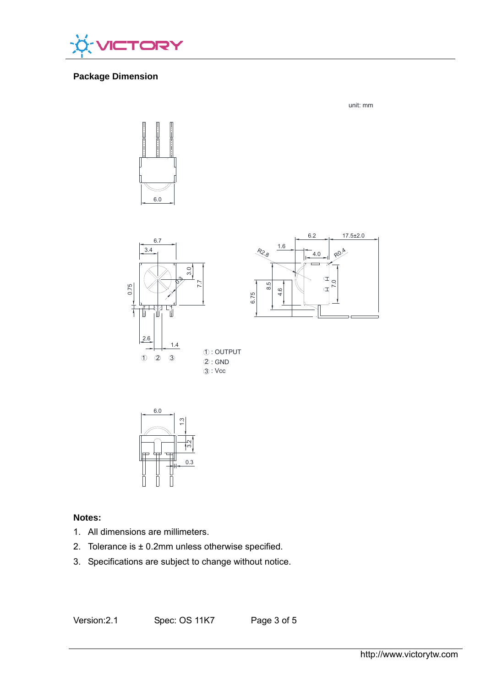

# **Package Dimension**

6.0





unit: mm



#### **Notes:**

- 1. All dimensions are millimeters.
- 2. Tolerance is  $\pm$  0.2mm unless otherwise specified.
- 3. Specifications are subject to change without notice.

Version:2.1 Spec: OS 11K7 Page 3 of 5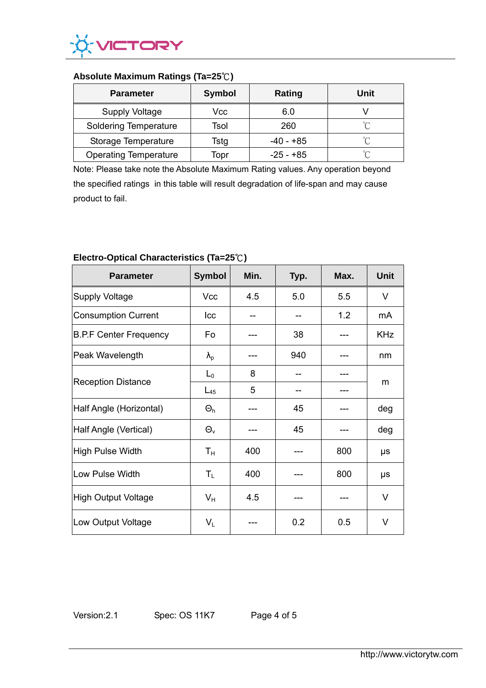

## **Absolute Maximum Ratings (Ta=25**℃**)**

| <b>Parameter</b>             | <b>Symbol</b> | Rating      | Unit   |
|------------------------------|---------------|-------------|--------|
| <b>Supply Voltage</b>        | Vcc           | 6.0         |        |
| <b>Soldering Temperature</b> | Tsol          | 260         | $\sim$ |
| Storage Temperature          | Tstg          | -40 - +85   | $\sim$ |
| <b>Operating Temperature</b> | Topr          | $-25 - +85$ | $\sim$ |

Note: Please take note the Absolute Maximum Rating values. Any operation beyond the specified ratings in this table will result degradation of life-span and may cause product to fail.

| <b>Parameter</b>              | <b>Symbol</b>    | Min. | Typ. | Max. | <b>Unit</b> |
|-------------------------------|------------------|------|------|------|-------------|
| Supply Voltage                | Vcc              | 4.5  | 5.0  | 5.5  | $\vee$      |
| Consumption Current           | Icc              |      |      | 1.2  | mA          |
| <b>B.P.F Center Frequency</b> | Fo               |      | 38   |      | <b>KHz</b>  |
| Peak Wavelength               | $\lambda_{p}$    |      | 940  |      | nm          |
| <b>Reception Distance</b>     | $L_0$            | 8    |      |      | m           |
|                               | $L_{45}$         | 5    |      |      |             |
| Half Angle (Horizontal)       | $\Theta_{h}$     |      | 45   |      | deg         |
| Half Angle (Vertical)         | $\Theta_{\rm v}$ |      | 45   |      | deg         |
| High Pulse Width              | $T_{\rm H}$      | 400  |      | 800  | μs          |
| Low Pulse Width               | $T_{L}$          | 400  |      | 800  | μs          |
| High Output Voltage           | $V_{H}$          | 4.5  |      |      | V           |
| Low Output Voltage            | $V_L$            |      | 0.2  | 0.5  | V           |

# **Electro-Optical Characteristics (Ta=25**℃**)**